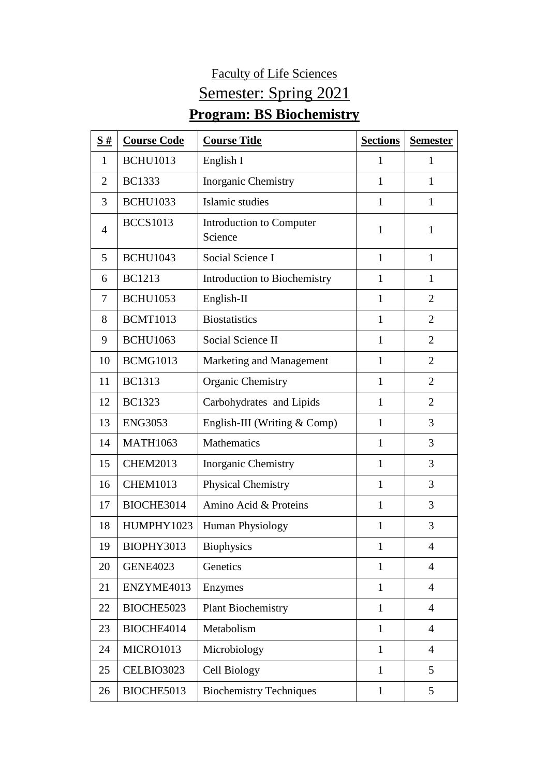## Faculty of Life Sciences Semester: Spring 2021 **Program: BS Biochemistry**

| $\frac{S#}{4}$ | <b>Course Code</b> | <b>Course Title</b>                 | <b>Sections</b> | <b>Semester</b> |
|----------------|--------------------|-------------------------------------|-----------------|-----------------|
| 1              | <b>BCHU1013</b>    | English I                           | 1               | 1               |
| $\overline{2}$ | <b>BC1333</b>      | <b>Inorganic Chemistry</b>          | $\mathbf{1}$    | $\mathbf{1}$    |
| 3              | <b>BCHU1033</b>    | Islamic studies                     | $\mathbf{1}$    | $\mathbf{1}$    |
| $\overline{4}$ | <b>BCCS1013</b>    | Introduction to Computer<br>Science | 1               | $\mathbf{1}$    |
| 5              | <b>BCHU1043</b>    | Social Science I                    | $\mathbf{1}$    | $\mathbf{1}$    |
| 6              | <b>BC1213</b>      | Introduction to Biochemistry        | $\mathbf{1}$    | $\mathbf{1}$    |
| 7              | <b>BCHU1053</b>    | English-II                          | 1               | $\overline{2}$  |
| 8              | <b>BCMT1013</b>    | <b>Biostatistics</b>                | $\mathbf{1}$    | $\overline{2}$  |
| 9              | <b>BCHU1063</b>    | Social Science II                   | $\mathbf{1}$    | $\overline{2}$  |
| 10             | <b>BCMG1013</b>    | Marketing and Management            | $\mathbf{1}$    | $\overline{2}$  |
| 11             | <b>BC1313</b>      | <b>Organic Chemistry</b>            | $\mathbf{1}$    | $\overline{2}$  |
| 12             | <b>BC1323</b>      | Carbohydrates and Lipids            | 1               | $\overline{2}$  |
| 13             | <b>ENG3053</b>     | English-III (Writing $& Comp$ )     | $\mathbf{1}$    | 3               |
| 14             | <b>MATH1063</b>    | <b>Mathematics</b>                  | 1               | 3               |
| 15             | <b>CHEM2013</b>    | <b>Inorganic Chemistry</b>          | $\mathbf{1}$    | 3               |
| 16             | <b>CHEM1013</b>    | <b>Physical Chemistry</b>           | $\mathbf{1}$    | 3               |
| 17             | BIOCHE3014         | Amino Acid & Proteins               | $\mathbf{1}$    | 3               |
| 18             | HUMPHY1023         | Human Physiology                    | 1               | 3               |
| 19             | BIOPHY3013         | Biophysics                          | 1               | 4               |
| 20             | <b>GENE4023</b>    | Genetics                            | $\mathbf{1}$    | $\overline{4}$  |
| 21             | ENZYME4013         | Enzymes                             | $\mathbf{1}$    | $\overline{4}$  |
| 22             | BIOCHE5023         | <b>Plant Biochemistry</b>           | $\mathbf{1}$    | $\overline{4}$  |
| 23             | BIOCHE4014         | Metabolism                          | $\mathbf{1}$    | $\overline{4}$  |
| 24             | MICRO1013          | Microbiology                        | $\mathbf{1}$    | $\overline{4}$  |
| 25             | CELBIO3023         | Cell Biology                        | $\mathbf{1}$    | $5\overline{)}$ |
| 26             | BIOCHE5013         | <b>Biochemistry Techniques</b>      | $\mathbf{1}$    | 5               |